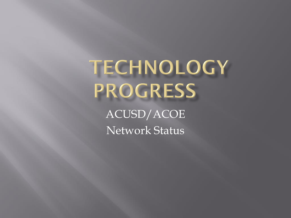TECHNOLOGY **PROGRESS** 

ACUSD/ACOE Network Status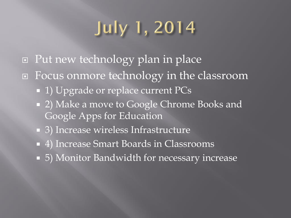# **July 1, 2014**

- Put new technology plan in place
- □ Focus onmore technology in the classroom
	- **1)** Upgrade or replace current PCs
	- 2) Make a move to Google Chrome Books and Google Apps for Education
	- 3) Increase wireless Infrastructure
	- 4) Increase Smart Boards in Classrooms
	- 5) Monitor Bandwidth for necessary increase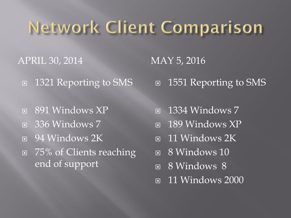# **Network Client Comparison**

APRIL 30, 2014 MAY 5, 2016

- □ 1321 Reporting to SMS
- **B** 891 Windows XP
- **E** 336 Windows 7
- **E** 94 Windows 2K
- □ 75% of Clients reaching end of support

1551 Reporting to SMS

- $\Box$  1334 Windows 7
- $\Box$  189 Windows XP
- **11 Windows 2K**
- **B** 8 Windows 10
- **B** Windows 8
- $\Box$  11 Windows 2000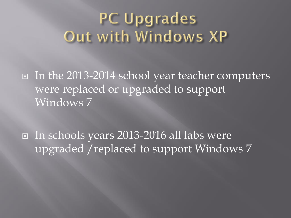#### **PC Upgrades** Out with Windows XP

In the 2013-2014 school year teacher computers were replaced or upgraded to support Windows 7

 In schools years 2013-2016 all labs were upgraded /replaced to support Windows 7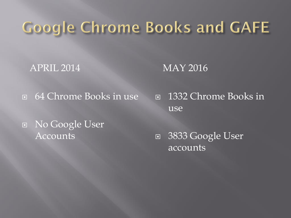#### **Google Chrome Books and GAFE**

APRIL 2014 MAY 2016

64 Chrome Books in use

 1332 Chrome Books in use

 No Google User Accounts

□ 3833 Google User accounts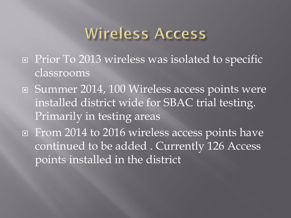#### Wireless Access

- □ Prior To 2013 wireless was isolated to specific classrooms
- Summer 2014, 100 Wireless access points were installed district wide for SBAC trial testing. Primarily in testing areas
- **EXTE FROM 2014 to 2016 wireless access points have** continued to be added . Currently 126 Access points installed in the district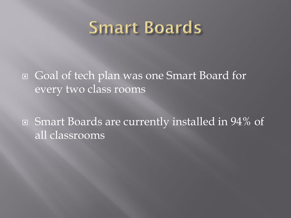#### **Smart Boards**

 Goal of tech plan was one Smart Board for every two class rooms

 Smart Boards are currently installed in 94% of all classrooms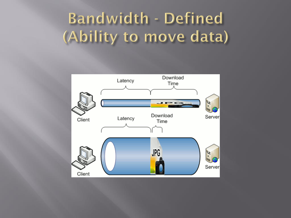## Bandwidth - Defined (Ability to move data)

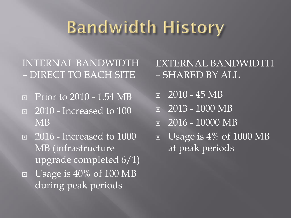## **Bandwidth History**

INTERNAL BANDWIDTH – DIRECT TO EACH SITE

- **Prior to 2010 1.54 MB**
- **a** 2010 Increased to 100 MB
- □ 2016 Increased to 1000 MB (infrastructure upgrade completed 6/1) Usage is 40% of 100 MB during peak periods
- EXTERNAL BANDWIDTH – SHARED BY ALL
- $\overline{2010 45}$  MB
- $\Box$  2013 1000 MB
- $\Box$  2016 10000 MB
- $\Box$  Usage is 4% of 1000 MB at peak periods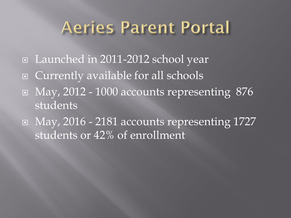## Aeries Parent Portal

- Launched in 2011-2012 school year
- Currently available for all schools
- $\Box$  May, 2012 1000 accounts representing 876 students
- May, 2016 2181 accounts representing 1727 students or 42% of enrollment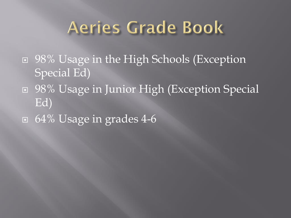## Aeries Grade Book

- □ 98% Usage in the High Schools (Exception Special Ed)
- 98% Usage in Junior High (Exception Special Ed)
- 64% Usage in grades 4-6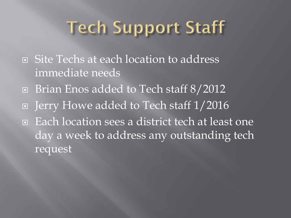# **Tech Support Staff**

- □ Site Techs at each location to address immediate needs
- Brian Enos added to Tech staff 8/2012
- Jerry Howe added to Tech staff 1/2016
- Each location sees a district tech at least one day a week to address any outstanding tech request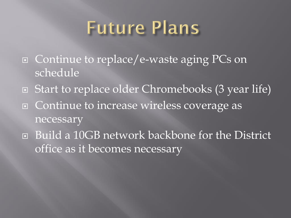# **Future Plans**

- □ Continue to replace/e-waste aging PCs on schedule
- Start to replace older Chromebooks (3 year life) □ Continue to increase wireless coverage as necessary
- Build a 10GB network backbone for the District office as it becomes necessary